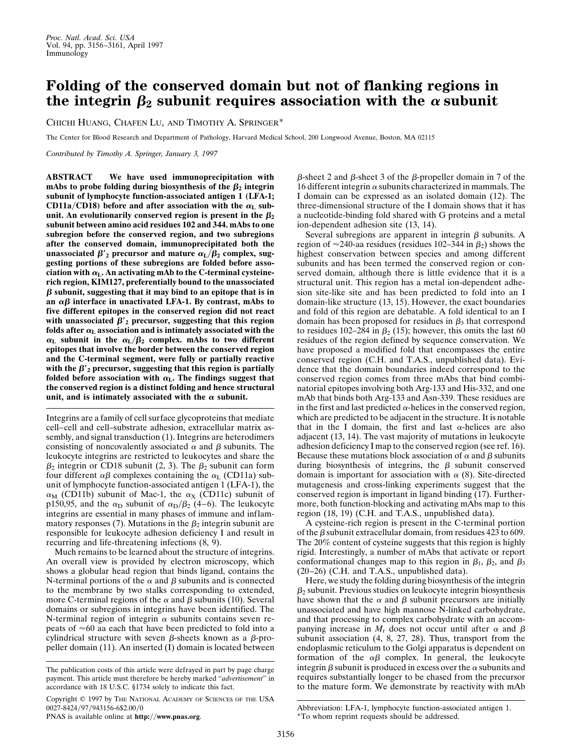## **Folding of the conserved domain but not of flanking regions in** the integrin  $\beta_2$  subunit requires association with the  $\alpha$  subunit

CHICHI HUANG, CHAFEN LU, AND TIMOTHY A. SPRINGER\*

The Center for Blood Research and Department of Pathology, Harvard Medical School, 200 Longwood Avenue, Boston, MA 02115

*Contributed by Timothy A. Springer, January 3, 1997*

**ABSTRACT We have used immunoprecipitation with** mAbs to probe folding during biosynthesis of the  $\beta_2$  integrin **subunit of lymphocyte function-associated antigen 1 (LFA-1; CD11a/CD18)** before and after association with the  $\alpha_L$  subunit. An evolutionarily conserved region is present in the  $\beta_2$ **subunit between amino acid residues 102 and 344. mAbs to one subregion before the conserved region, and two subregions after the conserved domain, immunoprecipitated both the unassociated**  $\beta'$ <sub>2</sub> precursor and mature  $\alpha$ <sub>L</sub>/ $\beta$ <sub>2</sub> complex, sug**gesting portions of these subregions are folded before asso**ciation with  $\alpha_{\text{L}}$ . An activating mAb to the C-terminal cysteine**rich region, KIM127, preferentially bound to the unassociated**  $\beta$  subunit, suggesting that it may bind to an epitope that is in an  $\alpha\beta$  interface in unactivated LFA-1. By contrast, mAbs to **five different epitopes in the conserved region did not react** with unassociated  $\beta'$ <sub>2</sub> precursor, suggesting that this region folds after  $\alpha$ <sub>L</sub> association and is intimately associated with the  $\alpha$ <sub>L</sub> subunit in the  $\alpha$ <sub>L</sub>/ $\beta$ <sub>2</sub> complex. mAbs to two different **epitopes that involve the border between the conserved region and the C-terminal segment, were fully or partially reactive** with the  $\beta'$ <sub>2</sub> precursor, suggesting that this region is partially folded before association with  $\alpha$ <sub>L</sub>. The findings suggest that **the conserved region is a distinct folding and hence structural** unit, and is intimately associated with the  $\alpha$  subunit.

Integrins are a family of cell surface glycoproteins that mediate cell–cell and cell–substrate adhesion, extracellular matrix assembly, and signal transduction (1). Integrins are heterodimers consisting of noncovalently associated  $\alpha$  and  $\beta$  subunits. The leukocyte integrins are restricted to leukocytes and share the  $\beta_2$  integrin or CD18 subunit (2, 3). The  $\beta_2$  subunit can form four different  $\alpha\beta$  complexes containing the  $\alpha_L$  (CD11a) subunit of lymphocyte function-associated antigen 1 (LFA-1), the  $\alpha_M$  (CD11b) subunit of Mac-1, the  $\alpha_X$  (CD11c) subunit of p150,95, and the  $\alpha_D$  subunit of  $\alpha_D/\beta_2$  (4–6). The leukocyte integrins are essential in many phases of immune and inflammatory responses (7). Mutations in the  $\beta_2$  integrin subunit are responsible for leukocyte adhesion deficiency I and result in recurring and life-threatening infections (8, 9).

Much remains to be learned about the structure of integrins. An overall view is provided by electron microscopy, which shows a globular head region that binds ligand, contains the N-terminal portions of the  $\alpha$  and  $\beta$  subunits and is connected to the membrane by two stalks corresponding to extended, more C-terminal regions of the  $\alpha$  and  $\beta$  subunits (10). Several domains or subregions in integrins have been identified. The N-terminal region of integrin  $\alpha$  subunits contains seven repeats of  $\approx 60$  aa each that have been predicted to fold into a cylindrical structure with seven  $\beta$ -sheets known as a  $\beta$ -propeller domain (11). An inserted (I) domain is located between

Copyright  $@$  1997 by The NATIONAL ACADEMY OF SCIENCES OF THE USA 0027-8424/97/943156-6\$2.00/0

PNAS is available online at **http://www.pnas.org**.

 $\beta$ -sheet 2 and  $\beta$ -sheet 3 of the  $\beta$ -propeller domain in 7 of the 16 different integrin  $\alpha$  subunits characterized in mammals. The I domain can be expressed as an isolated domain (12). The three-dimensional structure of the I domain shows that it has a nucleotide-binding fold shared with G proteins and a metal ion-dependent adhesion site (13, 14).

Several subregions are apparent in integrin  $\beta$  subunits. A region of  $\approx$  240-aa residues (residues 102–344 in  $\beta_2$ ) shows the highest conservation between species and among different subunits and has been termed the conserved region or conserved domain, although there is little evidence that it is a structural unit. This region has a metal ion-dependent adhesion site-like site and has been predicted to fold into an I domain-like structure (13, 15). However, the exact boundaries and fold of this region are debatable. A fold identical to an I domain has been proposed for residues in  $\beta_3$  that correspond to residues 102–284 in  $\beta_2$  (15); however, this omits the last 60 residues of the region defined by sequence conservation. We have proposed a modified fold that encompasses the entire conserved region (C.H. and T.A.S., unpublished data). Evidence that the domain boundaries indeed correspond to the conserved region comes from three mAbs that bind combinatorial epitopes involving both Arg-133 and His-332, and one mAb that binds both Arg-133 and Asn-339. These residues are in the first and last predicted  $\alpha$ -helices in the conserved region, which are predicted to be adjacent in the structure. It is notable that in the I domain, the first and last  $\alpha$ -helices are also adjacent (13, 14). The vast majority of mutations in leukocyte adhesion deficiency I map to the conserved region (see ref. 16). Because these mutations block association of  $\alpha$  and  $\beta$  subunits during biosynthesis of integrins, the  $\beta$  subunit conserved domain is important for association with  $\alpha$  (8). Site-directed mutagenesis and cross-linking experiments suggest that the conserved region is important in ligand binding (17). Furthermore, both function-blocking and activating mAbs map to this region (18, 19) (C.H. and T.A.S., unpublished data).

A cysteine-rich region is present in the C-terminal portion of the  $\beta$  subunit extracellular domain, from residues 423 to 609. The 20% content of cysteine suggests that this region is highly rigid. Interestingly, a number of mAbs that activate or report conformational changes map to this region in  $\beta_1$ ,  $\beta_2$ , and  $\beta_3$ (20–26) (C.H. and T.A.S., unpublished data).

Here, we study the folding during biosynthesis of the integrin  $\beta_2$  subunit. Previous studies on leukocyte integrin biosynthesis have shown that the  $\alpha$  and  $\beta$  subunit precursors are initially unassociated and have high mannose N-linked carbohydrate, and that processing to complex carbohydrate with an accompanying increase in  $M_r$  does not occur until after  $\alpha$  and  $\beta$ subunit association (4, 8, 27, 28). Thus, transport from the endoplasmic reticulum to the Golgi apparatus is dependent on formation of the  $\alpha\beta$  complex. In general, the leukocyte integrin  $\beta$  subunit is produced in excess over the  $\alpha$  subunits and requires substantially longer to be chased from the precursor to the mature form. We demonstrate by reactivity with mAb

Abbreviation: LFA-1, lymphocyte function-associated antigen 1.

\*To whom reprint requests should be addressed.

The publication costs of this article were defrayed in part by page charge payment. This article must therefore be hereby marked ''*advertisement*'' in accordance with 18 U.S.C. §1734 solely to indicate this fact.

<sup>3156</sup>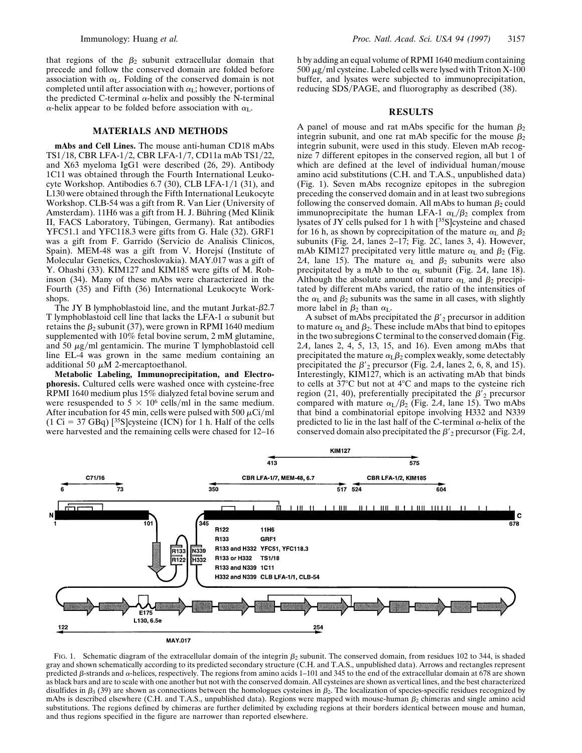that regions of the  $\beta_2$  subunit extracellular domain that precede and follow the conserved domain are folded before association with  $\alpha$ <sub>L</sub>. Folding of the conserved domain is not completed until after association with  $\alpha$ <sub>L</sub>; however, portions of the predicted C-terminal  $\alpha$ -helix and possibly the N-terminal  $\alpha$ -helix appear to be folded before association with  $\alpha_L$ .

## **MATERIALS AND METHODS**

**mAbs and Cell Lines.** The mouse anti-human CD18 mAbs TS1/18, CBR LFA-1/2, CBR LFA-1/7, CD11a mAb TS1/22, and X63 myeloma IgG1 were described (26, 29). Antibody 1C11 was obtained through the Fourth International Leukocyte Workshop. Antibodies  $6.7$  (30), CLB LFA-1/1 (31), and L130 were obtained through the Fifth International Leukocyte Workshop. CLB-54 was a gift from R. Van Lier (University of Amsterdam). 11H6 was a gift from H. J. Bühring (Med Klinik II, FACS Laboratory, Tübingen, Germany). Rat antibodies YFC51.1 and YFC118.3 were gifts from G. Hale (32). GRF1 was a gift from F. Garrido (Servicio de Analisis Clinicos, Spain). MEM-48 was a gift from V. Horejsí (Institute of Molecular Genetics, Czechoslovakia). MAY.017 was a gift of Y. Ohashi (33). KIM127 and KIM185 were gifts of M. Robinson (34). Many of these mAbs were characterized in the Fourth (35) and Fifth (36) International Leukocyte Workshops.

The JY B lymphoblastoid line, and the mutant Jurkat- $\beta$ 2.7 T lymphoblastoid cell line that lacks the LFA-1  $\alpha$  subunit but retains the  $\beta_2$  subunit (37), were grown in RPMI 1640 medium supplemented with 10% fetal bovine serum, 2 mM glutamine, and 50  $\mu$ g/ml gentamicin. The murine T lymphoblastoid cell line EL-4 was grown in the same medium containing an additional 50  $\mu$ M 2-mercaptoethanol.

**Metabolic Labeling, Immunoprecipitation, and Electrophoresis.** Cultured cells were washed once with cysteine-free RPMI 1640 medium plus 15% dialyzed fetal bovine serum and were resuspended to  $5 \times 10^6$  cells/ml in the same medium. After incubation for 45 min, cells were pulsed with 500  $\mu$ Ci/ml  $(1 \text{ Ci} = 37 \text{ GBq})$  [<sup>35</sup>S]cysteine (ICN) for 1 h. Half of the cells were harvested and the remaining cells were chased for 12–16 h by adding an equal volume of RPMI 1640 medium containing  $500 \mu$ g/ml cysteine. Labeled cells were lysed with Triton X-100 buffer, and lysates were subjected to immunoprecipitation, reducing SDS/PAGE, and fluorography as described (38).

## **RESULTS**

A panel of mouse and rat mAbs specific for the human  $\beta_2$ integrin subunit, and one rat mAb specific for the mouse  $\beta_2$ integrin subunit, were used in this study. Eleven mAb recognize 7 different epitopes in the conserved region, all but 1 of which are defined at the level of individual human/mouse amino acid substitutions (C.H. and T.A.S., unpublished data) (Fig. 1). Seven mAbs recognize epitopes in the subregion preceding the conserved domain and in at least two subregions following the conserved domain. All mAbs to human  $\beta_2$  could immunoprecipitate the human LFA-1  $\alpha_L/\beta_2$  complex from lysates of JY cells pulsed for 1 h with [35S]cysteine and chased for 16 h, as shown by coprecipitation of the mature  $\alpha_L$  and  $\beta_2$ subunits (Fig. 2*A*, lanes 2–17; Fig. 2*C*, lanes 3, 4). However, mAb KIM127 precipitated very little mature  $\alpha$ <sub>L</sub> and  $\beta$ <sub>2</sub> (Fig. 24, lane 15). The mature  $\alpha$ <sub>L</sub> and  $\beta$ <sub>2</sub> subunits were also precipitated by a mAb to the  $\alpha$ <sub>L</sub> subunit (Fig. 2A, lane 18). Although the absolute amount of mature  $\alpha_L$  and  $\beta_2$  precipitated by different mAbs varied, the ratio of the intensities of the  $\alpha$ <sub>L</sub> and  $\beta_2$  subunits was the same in all cases, with slightly more label in  $\beta_2$  than  $\alpha_L$ .

A subset of mAbs precipitated the  $\beta'$ <sub>2</sub> precursor in addition to mature  $\alpha$ <sub>L</sub> and  $\beta$ <sub>2</sub>. These include mAbs that bind to epitopes in the two subregions C terminal to the conserved domain (Fig. 2*A*, lanes 2, 4, 5, 13, 15, and 16). Even among mAbs that precipitated the mature  $\alpha_L\beta_2$  complex weakly, some detectably precipitated the  $\beta'$ <sub>2</sub> precursor (Fig. 2*A*, lanes 2, 6, 8, and 15). Interestingly, KIM127, which is an activating mAb that binds to cells at  $37^{\circ}$ C but not at  $4^{\circ}$ C and maps to the cysteine rich region (21, 40), preferentially precipitated the  $\beta'$ <sub>2</sub> precursor compared with mature  $\alpha_L/\beta_2$  (Fig. 2A, lane 15). Two mAbs that bind a combinatorial epitope involving H332 and N339 predicted to lie in the last half of the C-terminal  $\alpha$ -helix of the conserved domain also precipitated the  $\beta'$ <sub>2</sub> precursor (Fig. 2*A*,



FIG. 1. Schematic diagram of the extracellular domain of the integrin  $\beta_2$  subunit. The conserved domain, from residues 102 to 344, is shaded gray and shown schematically according to its predicted secondary structure (C.H. and T.A.S., unpublished data). Arrows and rectangles represent predicted  $\beta$ -strands and  $\alpha$ -helices, respectively. The regions from amino acids 1–101 and 345 to the end of the extracellular domain at 678 are shown as black bars and are to scale with one another but not with the conserved domain. All cysteines are shown as vertical lines, and the best characterized disulfides in  $\beta_3$  (39) are shown as connections between the homologues cysteines in  $\beta_2$ . The localization of species-specific residues recognized by mAbs is described elsewhere (C.H. and T.A.S., unpublished data). Regions were mapped with mouse-human  $\beta_2$  chimeras and single amino acid substitutions. The regions defined by chimeras are further delimited by excluding regions at their borders identical between mouse and human, and thus regions specified in the figure are narrower than reported elsewhere.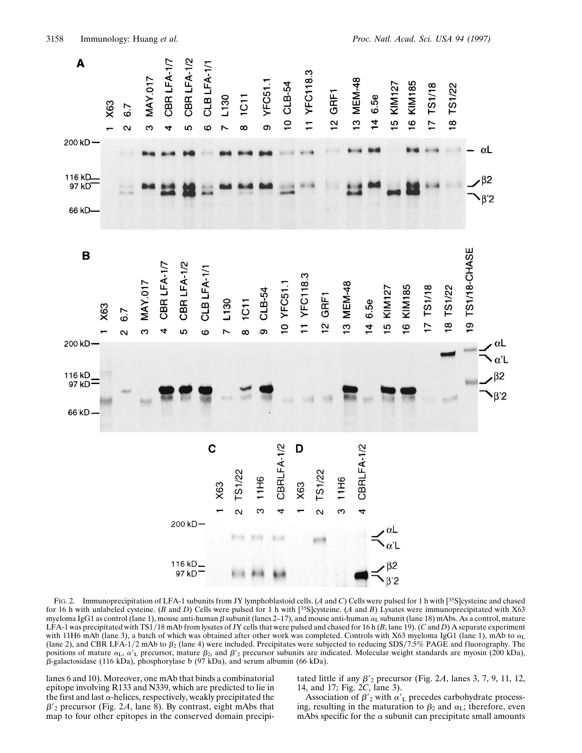

FIG. 2. Immunoprecipitation of LFA-1 subunits from JY lymphoblastoid cells. (*A* and *C*) Cells were pulsed for 1 h with [35S]cysteine and chased for 16 h with unlabeled cysteine. (*B* and *D*) Cells were pulsed for 1 h with [35S]cysteine. (*A* and *B*) Lysates were immunoprecipitated with X63 myeloma IgG1 as control (lane 1), mouse anti-human  $\beta$  subunit (lanes 2–17), and mouse anti-human  $\alpha$ <sub>L</sub> subunit (lane 18) mAbs. As a control, mature LFA-1 was precipitated with TS1/18 mAb from lysates of JY cells that were pulsed and chased for 16 h  $(B,$  lane 19). (*C* and *D*) A separate experiment with 11H6 mAb (lane 3), a batch of which was obtained after other work was completed. Controls with X63 myeloma IgG1 (lane 1), mAb to  $\alpha_L$ (lane 2), and CBR LFA-1/2 mAb to  $\beta_2$  (lane 4) were included. Precipitates were subjected to reducing SDS/7.5% PAGE and fluorography. The positions of mature  $\alpha_L$ ,  $\alpha'_L$  precursor, mature  $\beta_2$ , and  $\beta'_{2}$  precursor subunits are indicated. Molecular weight standards are myosin (200 kDa),  $\beta$ -galactosidase (116 kDa), phosphorylase b (97 kDa), and serum albumin (66 kDa).

lanes 6 and 10). Moreover, one mAb that binds a combinatorial epitope involving R133 and N339, which are predicted to lie in the first and last  $\alpha$ -helices, respectively, weakly precipitated the  $\beta$ '<sub>2</sub> precursor (Fig. 2*A*, lane 8). By contrast, eight mAbs that map to four other epitopes in the conserved domain precipitated little if any  $\beta'$ <sub>2</sub> precursor (Fig. 2A, lanes 3, 7, 9, 11, 12, 14, and 17; Fig. 2*C*, lane 3).

Association of  $\beta'$ <sub>2</sub> with  $\alpha'$ <sub>L</sub> precedes carbohydrate processing, resulting in the maturation to  $\beta_2$  and  $\alpha_L$ ; therefore, even mAbs specific for the  $\alpha$  subunit can precipitate small amounts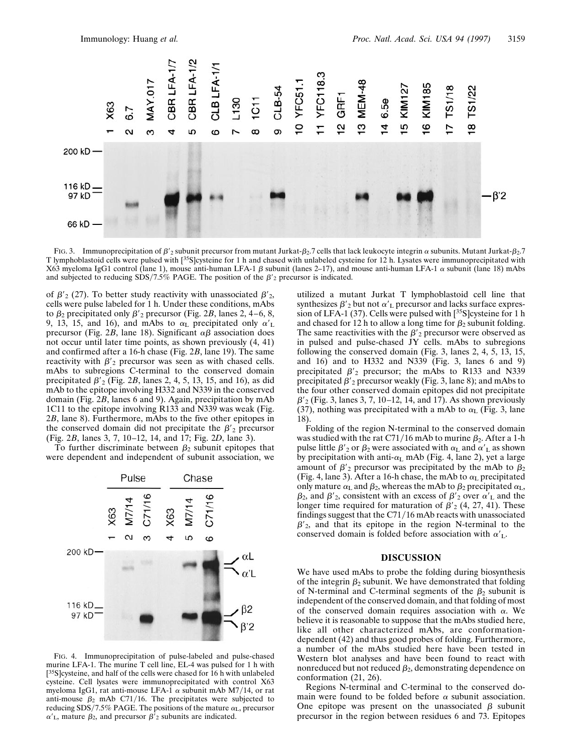

FIG. 3. Immunoprecipitation of  $\beta'$ <sub>2</sub> subunit precursor from mutant Jurkat- $\beta_2$ .7 cells that lack leukocyte integrin  $\alpha$  subunits. Mutant Jurkat- $\beta_2$ .7 T lymphoblastoid cells were pulsed with [35S]cysteine for 1 h and chased with unlabeled cysteine for 12 h. Lysates were immunoprecipitated with X63 myeloma IgG1 control (lane 1), mouse anti-human LFA-1  $\beta$  subunit (lanes 2–17), and mouse anti-human LFA-1  $\alpha$  subunit (lane 18) mAbs and subjected to reducing SDS/7.5% PAGE. The position of the  $\beta'_{2}$  precursor is indicated.

of  $\beta'$ <sub>2</sub> (27). To better study reactivity with unassociated  $\beta'$ <sub>2</sub>, cells were pulse labeled for 1 h. Under these conditions, mAbs to  $\beta_2$  precipitated only  $\beta'$ <sub>2</sub> precursor (Fig. 2*B*, lanes 2, 4–6, 8, 9, 13, 15, and 16), and mAbs to  $\alpha_L$  precipitated only  $\alpha'_L$ precursor (Fig. 2*B*, lane 18). Significant  $\alpha\beta$  association does not occur until later time points, as shown previously (4, 41) and confirmed after a 16-h chase (Fig. 2*B*, lane 19). The same reactivity with  $\beta'$ <sub>2</sub> precursor was seen as with chased cells. mAbs to subregions C-terminal to the conserved domain precipitated  $\beta'_{2}$  (Fig. 2*B*, lanes 2, 4, 5, 13, 15, and 16), as did mAb to the epitope involving H332 and N339 in the conserved domain (Fig. 2*B*, lanes 6 and 9). Again, precipitation by mAb 1C11 to the epitope involving R133 and N339 was weak (Fig. 2*B*, lane 8). Furthermore, mAbs to the five other epitopes in the conserved domain did not precipitate the  $\beta'_{2}$  precursor (Fig. 2*B*, lanes 3, 7, 10–12, 14, and 17; Fig. 2*D*, lane 3).

To further discriminate between  $\beta_2$  subunit epitopes that were dependent and independent of subunit association, we



FIG. 4. Immunoprecipitation of pulse-labeled and pulse-chased murine LFA-1. The murine T cell line, EL-4 was pulsed for 1 h with [<sup>35</sup>S]cysteine, and half of the cells were chased for 16 h with unlabeled cysteine. Cell lysates were immunoprecipitated with control X63 myeloma IgG1, rat anti-mouse LFA-1  $\alpha$  subunit mAb M7/14, or rat anti-mouse  $\beta_2$  mAb C71/16. The precipitates were subjected to reducing SDS/7.5% PAGE. The positions of the mature  $\alpha_{\rm L}$ , precursor  $\alpha'$ <sub>L</sub>, mature  $\beta_2$ , and precursor  $\beta'$ <sub>2</sub> subunits are indicated.

utilized a mutant Jurkat T lymphoblastoid cell line that synthesizes  $\beta'$ <sub>2</sub> but not  $\alpha'$ <sub>L</sub> precursor and lacks surface expression of LFA-1 (37). Cells were pulsed with [35S]cysteine for 1 h and chased for 12 h to allow a long time for  $\beta_2$  subunit folding. The same reactivities with the  $\beta'$ <sub>2</sub> precursor were observed as in pulsed and pulse-chased JY cells. mAbs to subregions following the conserved domain (Fig. 3, lanes 2, 4, 5, 13, 15, and 16) and to H332 and N339 (Fig. 3, lanes 6 and 9) precipitated  $\beta'$ <sub>2</sub> precursor; the mAbs to R133 and N339 precipitated  $\beta'$ <sub>2</sub> precursor weakly (Fig. 3, lane 8); and mAbs to the four other conserved domain epitopes did not precipitate  $\beta'$ <sub>2</sub> (Fig. 3, lanes 3, 7, 10–12, 14, and 17). As shown previously (37), nothing was precipitated with a mAb to  $\alpha$ <sub>L</sub> (Fig. 3, lane 18).

Folding of the region N-terminal to the conserved domain was studied with the rat C71/16 mAb to murine  $\beta_2$ . After a 1-h pulse little  $\beta'$ <sub>2</sub> or  $\beta$ <sub>2</sub> were associated with  $\alpha$ <sub>L</sub> and  $\alpha'$ <sub>L</sub> as shown by precipitation with anti- $\alpha$ <sub>L</sub> mAb (Fig. 4, lane 2), yet a large amount of  $\beta'$ <sub>2</sub> precursor was precipitated by the mAb to  $\beta_2$ (Fig. 4, lane 3). After a 16-h chase, the mAb to  $\alpha$ <sub>L</sub> precipitated only mature  $\alpha$ <sub>L</sub> and  $\beta_2$ , whereas the mAb to  $\beta_2$  precipitated  $\alpha$ <sub>L</sub>,  $\beta_2$ , and  $\beta'_2$ , consistent with an excess of  $\beta'_2$  over  $\alpha'_{\rm L}$  and the longer time required for maturation of  $\beta'$ <sub>2</sub> (4, 27, 41). These findings suggest that the  $C71/16$  mAb reacts with unassociated  $\beta'_{2}$ , and that its epitope in the region N-terminal to the conserved domain is folded before association with  $\alpha'_{L}$ .

## **DISCUSSION**

We have used mAbs to probe the folding during biosynthesis of the integrin  $\beta_2$  subunit. We have demonstrated that folding of N-terminal and C-terminal segments of the  $\beta_2$  subunit is independent of the conserved domain, and that folding of most of the conserved domain requires association with  $\alpha$ . We believe it is reasonable to suppose that the mAbs studied here, like all other characterized mAbs, are conformationdependent (42) and thus good probes of folding. Furthermore, a number of the mAbs studied here have been tested in Western blot analyses and have been found to react with nonreduced but not reduced  $\beta_2$ , demonstrating dependence on conformation (21, 26).

Regions N-terminal and C-terminal to the conserved domain were found to be folded before  $\alpha$  subunit association. One epitope was present on the unassociated  $\beta$  subunit precursor in the region between residues 6 and 73. Epitopes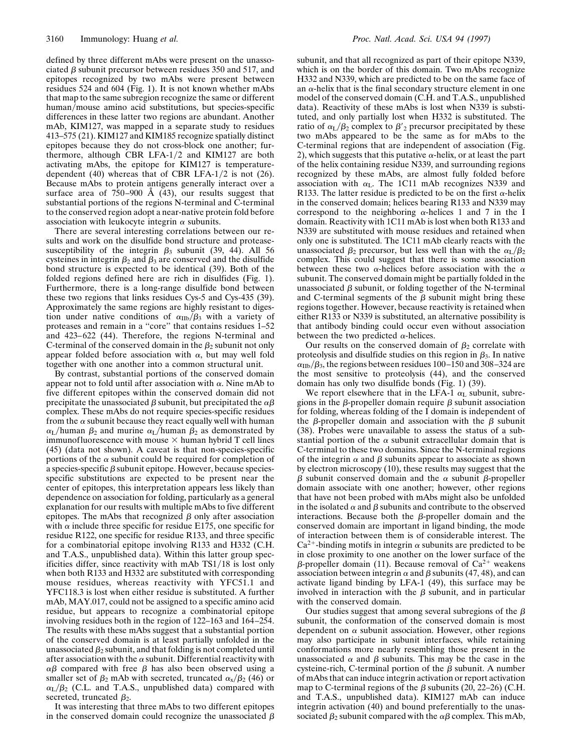defined by three different mAbs were present on the unassociated  $\beta$  subunit precursor between residues 350 and 517, and epitopes recognized by two mAbs were present between residues 524 and 604 (Fig. 1). It is not known whether mAbs that map to the same subregion recognize the same or different human/mouse amino acid substitutions, but species-specific differences in these latter two regions are abundant. Another mAb, KIM127, was mapped in a separate study to residues 413–575 (21). KIM127 and KIM185 recognize spatially distinct epitopes because they do not cross-block one another; furthermore, although CBR LFA- $1/2$  and KIM127 are both activating mAbs, the epitope for KIM127 is temperaturedependent  $(40)$  whereas that of CBR LFA-1/2 is not  $(26)$ . Because mAbs to protein antigens generally interact over a surface area of  $750-900$  Å  $(43)$ , our results suggest that substantial portions of the regions N-terminal and C-terminal to the conserved region adopt a near-native protein fold before association with leukocyte integrin  $\alpha$  subunits.

There are several interesting correlations between our results and work on the disulfide bond structure and proteasesusceptibility of the integrin  $\beta_3$  subunit (39, 44). All 56 cysteines in integrin  $\beta_2$  and  $\beta_3$  are conserved and the disulfide bond structure is expected to be identical (39). Both of the folded regions defined here are rich in disulfides (Fig. 1). Furthermore, there is a long-range disulfide bond between these two regions that links residues Cys-5 and Cys-435 (39). Approximately the same regions are highly resistant to digestion under native conditions of  $\alpha_{\text{IIb}}/\beta_3$  with a variety of proteases and remain in a ''core'' that contains residues 1–52 and 423–622 (44). Therefore, the regions N-terminal and C-terminal of the conserved domain in the  $\beta_2$  subunit not only appear folded before association with  $\alpha$ , but may well fold together with one another into a common structural unit.

By contrast, substantial portions of the conserved domain appear not to fold until after association with  $\alpha$ . Nine mAb to five different epitopes within the conserved domain did not precipitate the unassociated  $\beta$  subunit, but precipitated the  $\alpha\beta$ complex. These mAbs do not require species-specific residues from the  $\alpha$  subunit because they react equally well with human  $\alpha_{\rm L}/$ human  $\beta_2$  and murine  $\alpha_{\rm L}/$ human  $\beta_2$  as demonstrated by immunofluorescence with mouse  $\times$  human hybrid T cell lines (45) (data not shown). A caveat is that non-species-specific portions of the  $\alpha$  subunit could be required for completion of a species-specific  $\beta$  subunit epitope. However, because speciesspecific substitutions are expected to be present near the center of epitopes, this interpretation appears less likely than dependence on association for folding, particularly as a general explanation for our results with multiple mAbs to five different epitopes. The mAbs that recognized  $\beta$  only after association with  $\alpha$  include three specific for residue E175, one specific for residue R122, one specific for residue R133, and three specific for a combinatorial epitope involving R133 and H332 (C.H. and T.A.S., unpublished data). Within this latter group specificities differ, since reactivity with mAb  $TS1/18$  is lost only when both R133 and H332 are substituted with corresponding mouse residues, whereas reactivity with YFC51.1 and YFC118.3 is lost when either residue is substituted. A further mAb, MAY.017, could not be assigned to a specific amino acid residue, but appears to recognize a combinatorial epitope involving residues both in the region of 122–163 and 164–254. The results with these mAbs suggest that a substantial portion of the conserved domain is at least partially unfolded in the unassociated  $\beta_2$  subunit, and that folding is not completed until after association with the  $\alpha$  subunit. Differential reactivity with  $\alpha\beta$  compared with free  $\beta$  has also been observed using a smaller set of  $\beta_2$  mAb with secreted, truncated  $\alpha_x/\beta_2$  (46) or  $\alpha_{\rm L}/\beta_2$  (C.L. and T.A.S., unpublished data) compared with secreted, truncated  $\beta_2$ .

It was interesting that three mAbs to two different epitopes in the conserved domain could recognize the unassociated  $\beta$  subunit, and that all recognized as part of their epitope N339, which is on the border of this domain. Two mAbs recognize H332 and N339, which are predicted to be on the same face of an  $\alpha$ -helix that is the final secondary structure element in one model of the conserved domain (C.H. and T.A.S., unpublished data). Reactivity of these mAbs is lost when N339 is substituted, and only partially lost when H332 is substituted. The ratio of  $\alpha_L/\beta_2$  complex to  $\beta'$ <sub>2</sub> precursor precipitated by these two mAbs appeared to be the same as for mAbs to the C-terminal regions that are independent of association (Fig. 2), which suggests that this putative  $\alpha$ -helix, or at least the part of the helix containing residue N339, and surrounding regions recognized by these mAbs, are almost fully folded before association with  $\alpha$ <sub>L</sub>. The 1C11 mAb recognizes N339 and R133. The latter residue is predicted to be on the first  $\alpha$ -helix in the conserved domain; helices bearing R133 and N339 may correspond to the neighboring  $\alpha$ -helices 1 and 7 in the I domain. Reactivity with 1C11 mAb is lost when both R133 and N339 are substituted with mouse residues and retained when only one is substituted. The 1C11 mAb clearly reacts with the unassociated  $\beta_2$  precursor, but less well than with the  $\alpha_L/\beta_2$ complex. This could suggest that there is some association between these two  $\alpha$ -helices before association with the  $\alpha$ subunit. The conserved domain might be partially folded in the unassociated  $\beta$  subunit, or folding together of the N-terminal and C-terminal segments of the  $\beta$  subunit might bring these regions together. However, because reactivity is retained when either R133 or N339 is substituted, an alternative possibility is that antibody binding could occur even without association between the two predicted  $\alpha$ -helices.

Our results on the conserved domain of  $\beta_2$  correlate with proteolysis and disulfide studies on this region in  $\beta_3$ . In native  $\alpha_{\text{IIb}}/\beta_3$ , the regions between residues 100–150 and 308–324 are the most sensitive to proteolysis (44), and the conserved domain has only two disulfide bonds (Fig. 1) (39).

We report elsewhere that in the LFA-1  $\alpha$ <sub>L</sub> subunit, subregions in the  $\beta$ -propeller domain require  $\beta$  subunit association for folding, whereas folding of the I domain is independent of the  $\beta$ -propeller domain and association with the  $\beta$  subunit (38). Probes were unavailable to assess the status of a substantial portion of the  $\alpha$  subunit extracellular domain that is C-terminal to these two domains. Since the N-terminal regions of the integrin  $\alpha$  and  $\beta$  subunits appear to associate as shown by electron microscopy (10), these results may suggest that the  $\beta$  subunit conserved domain and the  $\alpha$  subunit  $\beta$ -propeller domain associate with one another; however, other regions that have not been probed with mAbs might also be unfolded in the isolated  $\alpha$  and  $\beta$  subunits and contribute to the observed interactions. Because both the  $\beta$ -propeller domain and the conserved domain are important in ligand binding, the mode of interaction between them is of considerable interest. The  $Ca^{2+}$ -binding motifs in integrin  $\alpha$  subunits are predicted to be in close proximity to one another on the lower surface of the  $\beta$ -propeller domain (11). Because removal of Ca<sup>2+</sup> weakens association between integrin  $\alpha$  and  $\beta$  subunits (47, 48), and can activate ligand binding by LFA-1 (49), this surface may be involved in interaction with the  $\beta$  subunit, and in particular with the conserved domain.

Our studies suggest that among several subregions of the  $\beta$ subunit, the conformation of the conserved domain is most dependent on  $\alpha$  subunit association. However, other regions may also participate in subunit interfaces, while retaining conformations more nearly resembling those present in the unassociated  $\alpha$  and  $\beta$  subunits. This may be the case in the cysteine-rich, C-terminal portion of the  $\beta$  subunit. A number of mAbs that can induce integrin activation or report activation map to C-terminal regions of the  $\beta$  subunits (20, 22–26) (C.H. and T.A.S., unpublished data). KIM127 mAb can induce integrin activation (40) and bound preferentially to the unassociated  $\beta_2$  subunit compared with the  $\alpha\beta$  complex. This mAb,